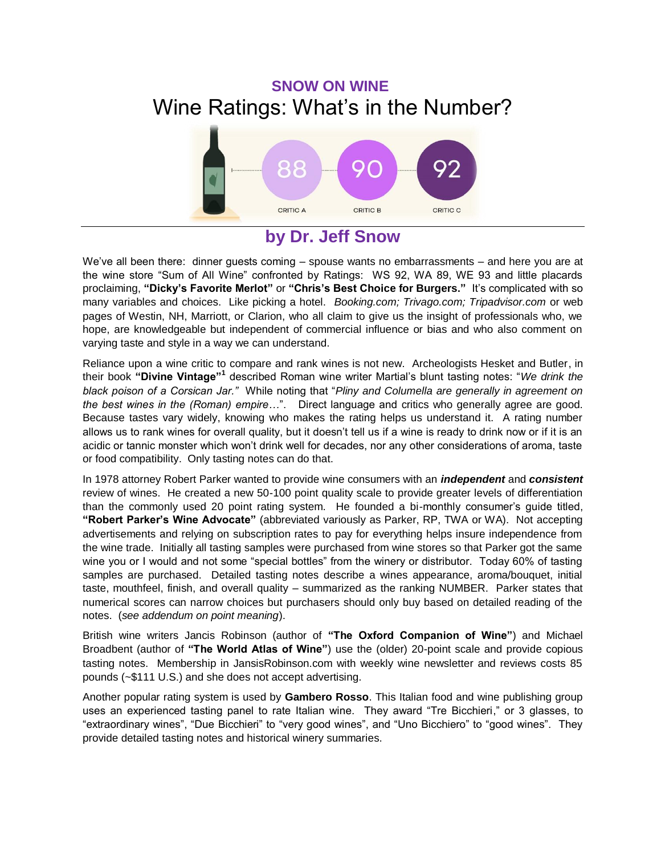# **SNOW ON WINE**  Wine Ratings: What's in the Number?



## **by Dr. Jeff Snow**

We've all been there: dinner guests coming – spouse wants no embarrassments – and here you are at the wine store "Sum of All Wine" confronted by Ratings: WS 92, WA 89, WE 93 and little placards proclaiming, **"Dicky's Favorite Merlot"** or **"Chris's Best Choice for Burgers."** It's complicated with so many variables and choices. Like picking a hotel. *Booking.com; Trivago.com; Tripadvisor.com* or web pages of Westin, NH, Marriott, or Clarion, who all claim to give us the insight of professionals who, we hope, are knowledgeable but independent of commercial influence or bias and who also comment on varying taste and style in a way we can understand.

Reliance upon a wine critic to compare and rank wines is not new. Archeologists Hesket and Butler, in their book **"Divine Vintage"<sup>1</sup>** described Roman wine writer Martial's blunt tasting notes: "*We drink the black poison of a Corsican Jar."* While noting that "*Pliny and Columella are generally in agreement on the best wines in the (Roman) empire…*". Direct language and critics who generally agree are good. Because tastes vary widely, knowing who makes the rating helps us understand it. A rating number allows us to rank wines for overall quality, but it doesn't tell us if a wine is ready to drink now or if it is an acidic or tannic monster which won't drink well for decades, nor any other considerations of aroma, taste or food compatibility. Only tasting notes can do that.

In 1978 attorney Robert Parker wanted to provide wine consumers with an *independent* and *consistent* review of wines. He created a new 50-100 point quality scale to provide greater levels of differentiation than the commonly used 20 point rating system. He founded a bi-monthly consumer's guide titled, **"Robert Parker's Wine Advocate"** (abbreviated variously as Parker, RP, TWA or WA). Not accepting advertisements and relying on subscription rates to pay for everything helps insure independence from the wine trade. Initially all tasting samples were purchased from wine stores so that Parker got the same wine you or I would and not some "special bottles" from the winery or distributor. Today 60% of tasting samples are purchased. Detailed tasting notes describe a wines appearance, aroma/bouquet, initial taste, mouthfeel, finish, and overall quality – summarized as the ranking NUMBER. Parker states that numerical scores can narrow choices but purchasers should only buy based on detailed reading of the notes. (*see addendum on point meaning*).

British wine writers Jancis Robinson (author of **"The Oxford Companion of Wine"**) and Michael Broadbent (author of **"The World Atlas of Wine"**) use the (older) 20-point scale and provide copious tasting notes. Membership in JansisRobinson.com with weekly wine newsletter and reviews costs 85 pounds (~\$111 U.S.) and she does not accept advertising.

Another popular rating system is used by **Gambero Rosso**. This Italian food and wine publishing group uses an experienced tasting panel to rate Italian wine. They award "Tre Bicchieri," or 3 glasses, to "extraordinary wines", "Due Bicchieri" to "very good wines", and "Uno Bicchiero" to "good wines". They provide detailed tasting notes and historical winery summaries.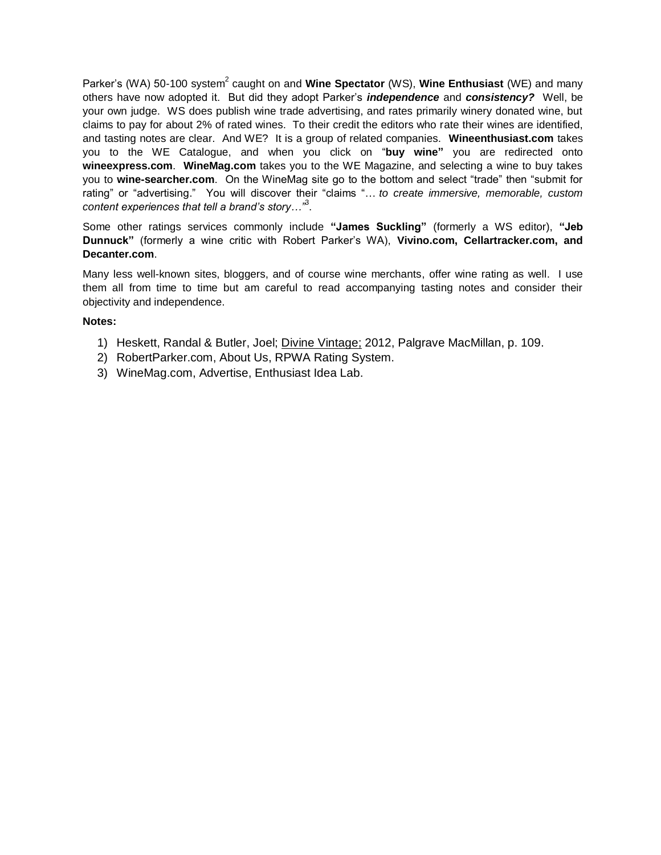Parker's (WA) 50-100 system<sup>2</sup> caught on and **Wine Spectator** (WS), **Wine Enthusiast** (WE) and many others have now adopted it. But did they adopt Parker's *independence* and *consistency?* Well, be your own judge. WS does publish wine trade advertising, and rates primarily winery donated wine, but claims to pay for about 2% of rated wines. To their credit the editors who rate their wines are identified, and tasting notes are clear. And WE? It is a group of related companies. **Wineenthusiast.com** takes you to the WE Catalogue, and when you click on "**buy wine"** you are redirected onto **wineexpress.com**. **WineMag.com** takes you to the WE Magazine, and selecting a wine to buy takes you to **wine-searcher.com**. On the WineMag site go to the bottom and select "trade" then "submit for rating" or "advertising." You will discover their "claims "… *to create immersive, memorable, custom content experiences that tell a brand's story…"*<sup>3</sup> .

Some other ratings services commonly include **"James Suckling"** (formerly a WS editor), **"Jeb Dunnuck"** (formerly a wine critic with Robert Parker's WA), **Vivino.com, Cellartracker.com, and Decanter.com**.

Many less well-known sites, bloggers, and of course wine merchants, offer wine rating as well. I use them all from time to time but am careful to read accompanying tasting notes and consider their objectivity and independence.

#### **Notes:**

- 1) Heskett, Randal & Butler, Joel; Divine Vintage; 2012, Palgrave MacMillan, p. 109.
- 2) RobertParker.com, About Us, RPWA Rating System.
- 3) WineMag.com, Advertise, Enthusiast Idea Lab.